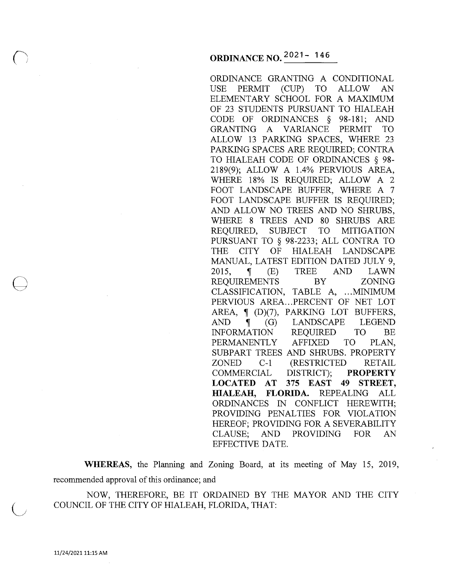ORDINANCE GRANTING A CONDITIONAL USE PERMIT (CUP) TO ALLOW AN ELEMENTARY SCHOOL FOR A MAXIMUM OF 23 STUDENTS PURSUANT TO HIALEAH CODE OF ORDINANCES § 98-181; AND GRANTING A VARIANCE PERMIT TO ALLOW 13 PARKING SPACES, WHERE 23 PARKING SPACES ARE REQUIRED; CONTRA TO HIALEAH CODE OF ORDINANCES § 98- 2189(9); ALLOW A 1.4% PERVIOUS AREA, WHERE 18% IS REQUIRED; ALLOW A 2 FOOT LANDSCAPE BUFFER, WHERE A 7 FOOT LANDSCAPE BUFFER IS REQUIRED; AND ALLOW NO TREES AND NO SHRUBS, WHERE 8 TREES AND 80 SHRUBS ARE REQUIRED, SUBJECT TO MITIGATION PURSUANT TO § 98-2233; ALL CONTRA TO THE CITY OF HIALEAH LANDSCAPE MANUAL, LATEST EDITION DATED JULY 9, 2015, **ii** (E) TREE AND LAWN REQUIREMENTS BY ZONING CLASSIFICATION, TABLE A, ... MINIMUM PERVIOUS AREA... PERCENT OF NET LOT AREA, **ii** (D)(7), PARKING LOT BUFFERS, AND **f** (G) LANDSCAPE LEGEND INFORMATION REQUIRED TO BE PERMANENTLY AFFIXED TO PLAN, SUBPART TREES AND SHRUBS. PROPERTY ZONED C-1 (RESTRICTED RETAIL COMMERCIAL DISTRICT); **PROPERTY LOCATED AT 375 EAST 49 STREET, HIALEAH, FLORIDA.** REPEALING ALL ORDINANCES IN CONFLICT HEREWITH; PROVIDING PENALTIES FOR VIOLATION HEREOF; PROVIDING FOR A SEVERABILITY CLAUSE; AND PROVIDING FOR AN EFFECTIVE DATE.

**WHEREAS,** the Planning and Zoning Board, at its meeting of May 15, 2019, recommended approval of this ordinance; and

NOW, THEREFORE, BE IT ORDAINED BY THE MAYOR AND THE CITY COUNCIL OF THE CITY OF HIALEAH, FLORIDA, THAT:

 $\bigoplus$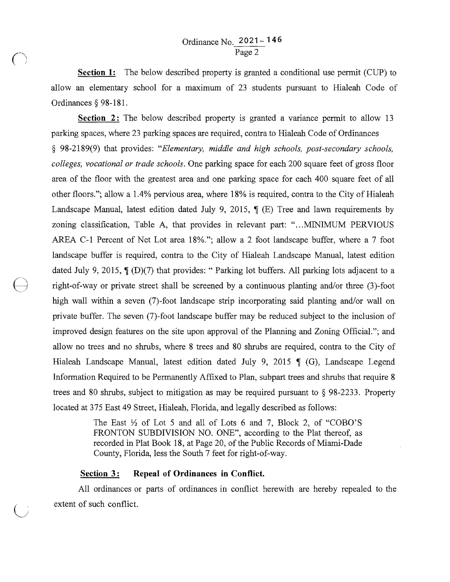**Section 1:** The below described property is granted a conditional use permit (CUP) to allow an elementary school for a maximum of 23 students pursuant to Hialeah Code of Ordinances§ 98-181.

**Section 2:** The below described property is granted a variance permit to allow 13 parking spaces, where 23 parking spaces are required, contra to Hialeah Code of Ordinances § 98-2189(9) that provides: *"Elementary, middle and high schools, post-secondary schools, colleges, vocational or trade schools.* One parking space for each 200 square feet of gross floor area of the floor with the greatest area and one parking space for each 400 square feet of all other floors."; allow a 1.4% pervious area, where 18% is required, contra to the City of Hialeah Landscape Manual, latest edition dated July 9, 2015,  $\parallel$  (E) Tree and lawn requirements by zoning classification, Table A, that provides in relevant part: " ... MINIMUM PERVIOUS AREA C-1 Percent of Net Lot area 18%."; allow a 2 foot landscape buffer, where a 7 foot landscape buffer is required, contra to the City of Hialeah Landscape Manual, latest edition dated July 9, 2015,  $\int_D (D)(7)$  that provides: " Parking lot buffers. All parking lots adjacent to a () right-of-way or private street shall be screened by a continuous planting and/or three (3)-foot high wall within a seven (7)-foot landscape strip incorporating said planting and/or wall on private buffer. The seven (7)-foot landscape buffer may be reduced subject to the inclusion of improved design features on the site upon approval of the Planning and Zoning Official."; and allow no trees and no shrubs, where 8 trees and 80 shrubs are required, contra to the City of Hialeah Landscape Manual, latest edition dated July 9, 2015  $\parallel$  (G), Landscape Legend Information Required to be Permanently Affixed to Plan, subpart trees and shrubs that require 8 trees and 80 shrubs, subject to mitigation as may be required pursuant to § 98-2233. Property located at 375 East 49 Street, Hialeah, Florida, and legally described as follows:

> The East  $\frac{1}{2}$  of Lot 5 and all of Lots 6 and 7, Block 2, of "COBO'S FRONTON SUBDIVISION NO. ONE", according to the Plat thereof, as recorded in Plat Book 18, at Page 20, of the Public Records of Miami-Dade County, Florida, less the South 7 feet for right-of-way.

## Section 3: Repeal of Ordinances in Conflict.

All ordinances or parts of ordinances in conflict herewith are hereby repealed to the extent of such conflict.